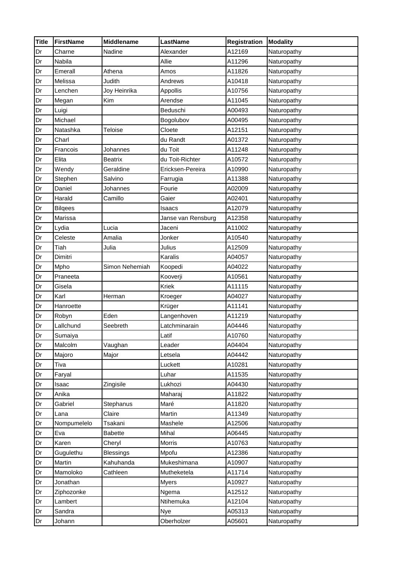| <b>Title</b> | <b>FirstName</b> | <b>Middlename</b> | <b>LastName</b>    | <b>Registration</b> | <b>Modality</b> |
|--------------|------------------|-------------------|--------------------|---------------------|-----------------|
| Dr           | Charne           | Nadine            | Alexander          | A12169              | Naturopathy     |
| Dr           | Nabila           |                   | Allie              | A11296              | Naturopathy     |
| Dr           | Emerall          | Athena            | Amos               | A11826              | Naturopathy     |
| Dr           | Melissa          | Judith            | Andrews            | A10418              | Naturopathy     |
| Dr           | Lenchen          | Joy Heinrika      | Appollis           | A10756              | Naturopathy     |
| Dr           | Megan            | Kim               | Arendse            | A11045              | Naturopathy     |
| Dr           | Luigi            |                   | Beduschi           | A00493              | Naturopathy     |
| Dr           | Michael          |                   | Bogolubov          | A00495              | Naturopathy     |
| Dr           | Natashka         | Teloise           | Cloete             | A12151              | Naturopathy     |
| Dr           | Charl            |                   | du Randt           | A01372              | Naturopathy     |
| Dr           | Francois         | Johannes          | du Toit            | A11248              | Naturopathy     |
| Dr           | Elita            | <b>Beatrix</b>    | du Toit-Richter    | A10572              | Naturopathy     |
| Dr           | Wendy            | Geraldine         | Ericksen-Pereira   | A10990              | Naturopathy     |
| Dr           | Stephen          | Salvino           | Farrugia           | A11388              | Naturopathy     |
| Dr           | Daniel           | Johannes          | Fourie             | A02009              | Naturopathy     |
| Dr           | Harald           | Camillo           | Gaier              | A02401              | Naturopathy     |
| Dr           | <b>Bilgees</b>   |                   | Isaacs             | A12079              | Naturopathy     |
| Dr           | Marissa          |                   | Janse van Rensburg | A12358              | Naturopathy     |
| Dr           | Lydia            | Lucia             | Jaceni             | A11002              | Naturopathy     |
| Dr           | Celeste          | Amalia            | Jonker             | A10540              | Naturopathy     |
| Dr           | Tiah             | Julia             | Julius             | A12509              | Naturopathy     |
| Dr           | Dimitri          |                   | Karalis            | A04057              | Naturopathy     |
| Dr           | Mpho             | Simon Nehemiah    | Koopedi            | A04022              | Naturopathy     |
| Dr           | Praneeta         |                   | Kooverji           | A10561              | Naturopathy     |
| Dr           | Gisela           |                   | Kriek              | A11115              | Naturopathy     |
| Dr           | Karl             | Herman            | Kroeger            | A04027              | Naturopathy     |
| Dr           | Hanroette        |                   | Krüger             | A11141              | Naturopathy     |
| Dr           | Robyn            | Eden              | Langenhoven        | A11219              | Naturopathy     |
| Dr           | Lallchund        | Seebreth          | Latchminarain      | A04446              | Naturopathy     |
| Dr           | Sumaiya          |                   | Latif              | A10760              | Naturopathy     |
| Dr           | Malcolm          | Vaughan           | Leader             | A04404              | Naturopathy     |
| Dr           | Majoro           | Major             | Letsela            | A04442              | Naturopathy     |
| Dr           | Tiva             |                   | Luckett            | A10281              | Naturopathy     |
| Dr           | Faryal           |                   | Luhar              | A11535              | Naturopathy     |
| Dr           | Isaac            | Zingisile         | Lukhozi            | A04430              | Naturopathy     |
| Dr           | Anika            |                   | Maharaj            | A11822              | Naturopathy     |
| Dr           | Gabriel          | Stephanus         | Maré               | A11820              | Naturopathy     |
| Dr           | Lana             | Claire            | Martin             | A11349              | Naturopathy     |
| Dr           | Nompumelelo      | Tsakani           | Mashele            | A12506              | Naturopathy     |
| Dr           | Eva              | <b>Babette</b>    | Mihal              | A06445              | Naturopathy     |
| Dr           | Karen            | Cheryl            | Morris             | A10763              | Naturopathy     |
| Dr           | Gugulethu        | <b>Blessings</b>  | Mpofu              | A12386              | Naturopathy     |
| Dr           | Martin           | Kahuhanda         | Mukeshimana        | A10907              | Naturopathy     |
| Dr           | Mamoloko         | Cathleen          | Mutheketela        | A11714              | Naturopathy     |
| Dr           | Jonathan         |                   | <b>Myers</b>       | A10927              | Naturopathy     |
| Dr           | Ziphozonke       |                   | Ngema              | A12512              | Naturopathy     |
| Dr           | Lambert          |                   | Ntihemuka          | A12104              | Naturopathy     |
| Dr           | Sandra           |                   | Nye                | A05313              | Naturopathy     |
| Dr           | Johann           |                   | Oberholzer         | A05601              | Naturopathy     |